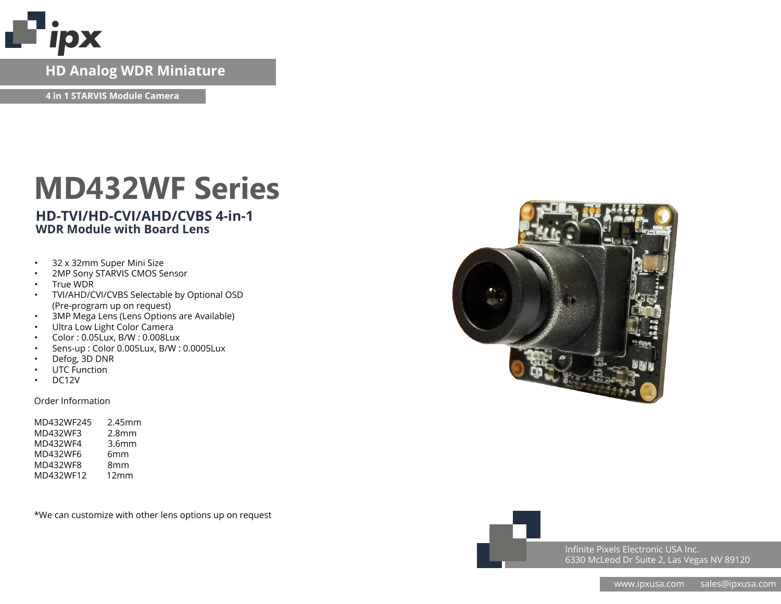

## **HD Analog WDR Miniature**

**4 in 1 STARVIS Module Camera**

# **MD432WF Series**

### **HD-TVI/HD-CVI/AHD/CVBS 4-in-1 WDR Module with Board Lens**

- 32 x 32mm Super Mini Size
- 2MP Sony STARVIS CMOS Sensor
- True WDR
- TVI/AHD/CVI/CVBS Selectable by Optional OSD (Pre-program up on request)
- 3MP Mega Lens (Lens Options are Available)
- Ultra Low Light Color Camera
- Color : 0.05Lux, B/W : 0.008Lux
- Sens-up : Color 0.005Lux, B/W : 0.0005Lux
- Defog, 3D DNR
- UTC Function
- DC12V

#### Order Information

| MD432WF245 | 2.45mm            |
|------------|-------------------|
| MD432WF3   | 2.8 <sub>mm</sub> |
| MD432WF4   | 3.6 <sub>mm</sub> |
| MD432WF6   | 6mm               |
| MD432WF8   | 8mm               |
| MD432WF12  | 12mm              |
|            |                   |

\*We can customize with other lens options up on request